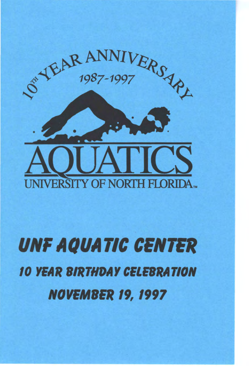

# *UNF AQUATIC CENTER*  10 *YEAR BIRTHDAY CELEBRATION NOVEMBER* 19, 1997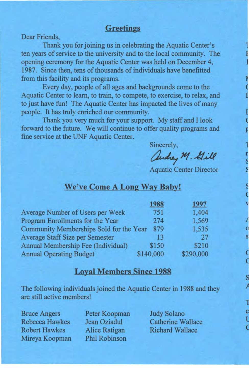### **Greetings**

Dear Friends,

Thank you for joining us in celebrating the Aquatic Center's ten years of service to the university and to the local community. The opening ceremony for the Aquatic Center was held on December 4, 1987. Since then, tens of thousands of individuals have benefitted from this facility and its programs.

Every day, people of all ages and backgrounds come to the Aquatic Center to learn, to train, to compete, to exercise, to relax, and to just have fun! The Aquatic Center has impacted the lives of many people. It has truly enriched our community.

Thank you very much for your support. My staff and I look forward to the future. We will continue to offer quality programs and fine service at the UNF Aquatic Center.

Sincerely,

andrey M. Gill

Aquatic Center Director

### **We've Come A Long Way Baby!**

|                                         | 1988      | 1997      |
|-----------------------------------------|-----------|-----------|
| Average Number of Users per Week        | 751       | 1,404     |
| Program Enrollments for the Year        | 274       | 1,569     |
| Community Memberships Sold for the Year | 879       | 1,535     |
| <b>Average Staff Size per Semester</b>  | 13        | 27        |
| Annual Membership Fee (Individual)      | \$150     | \$210     |
| <b>Annual Operating Budget</b>          | \$140,000 | \$290,000 |

# **Loyal Members Since 1988**

The following individuals joined the Aquatic Center in 1988 and they are still active members!

Bruce Angers Rebecca Hawkes Robert Hawkes Mireya Koopman Peter Koopman Jean Oziadul Alice Ratigan Phil Robinson

Judy Solano Catherine Wallace Richard Wallace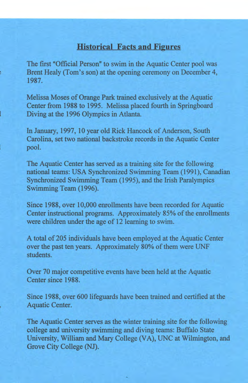## **Historical Facts and Figures**

The first "Official Person" to swim in the Aquatic Center pool was Brent Healy (Tom's son) at the opening ceremony on December 4, 1987.

Melissa Moses of Orange Park trained exclusively at the Aquatic Center from 1988 to 1995. Melissa placed fourth in Springboard Diving at the 1996 Olympics in Atlanta.

In January, 1997, 10 year old Rick Hancock of Anderson, South Carolina, set two national backstroke records in the Aquatic Center pool.

The Aquatic Center has served as a training site for the following national teams: USA Synchronized Swimming Team (1991), Canadian Synchronized Swimming Team (1995), and the Irish Paralympics Swimming Team (1996).

Since 1988, over 10,000 enrollments have been recorded for Aquatic Center instructional programs. Approximately 85% of the enrollments were children under the age of 12 learning to swim.

A total of 205 individuals have been employed at the Aquatic Center over the past ten years. Approximately 80% of them were UNF students.

Over 70 major competitive events have been held at the Aquatic Center since 1988.

Since 1988, over 600 lifeguards have been trained and certified at the Aquatic Center.

The Aquatic Center serves as the winter training site for the following college and university swimming and diving teams: Buffalo State University, William and Mary College (VA), UNC at Wilmington, and Grove City College (NJ).